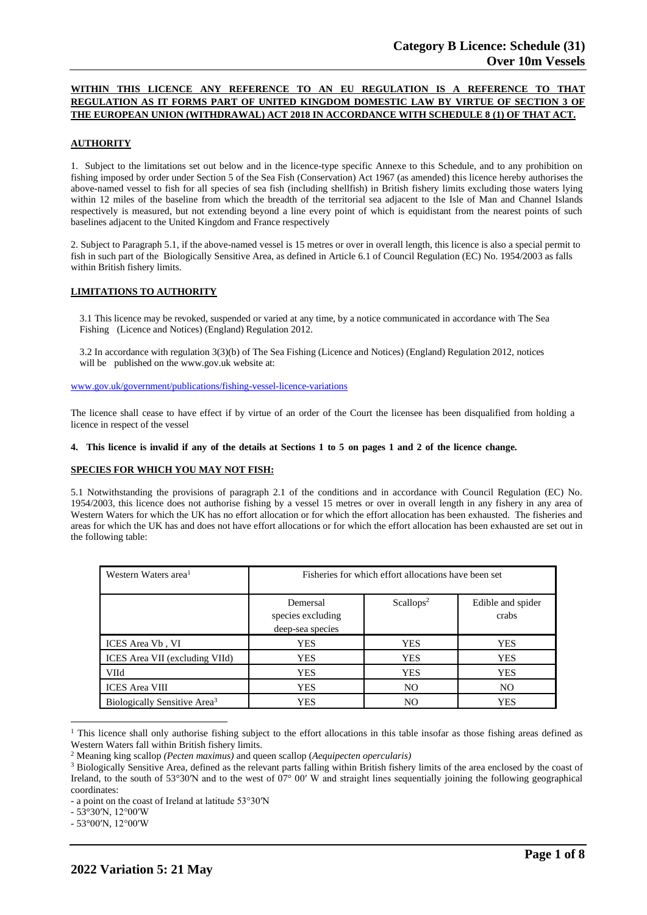# **WITHIN THIS LICENCE ANY REFERENCE TO AN EU REGULATION IS A REFERENCE TO THAT REGULATION AS IT FORMS PART OF UNITED KINGDOM DOMESTIC LAW BY VIRTUE OF SECTION 3 OF THE EUROPEAN UNION (WITHDRAWAL) ACT 2018 IN ACCORDANCE WITH SCHEDULE 8 (1) OF THAT ACT.**

# **AUTHORITY**

1. Subject to the limitations set out below and in the licence-type specific Annexe to this Schedule, and to any prohibition on fishing imposed by order under Section 5 of the Sea Fish (Conservation) Act 1967 (as amended) this licence hereby authorises the above-named vessel to fish for all species of sea fish (including shellfish) in British fishery limits excluding those waters lying within 12 miles of the baseline from which the breadth of the territorial sea adjacent to the Isle of Man and Channel Islands respectively is measured, but not extending beyond a line every point of which is equidistant from the nearest points of such baselines adjacent to the United Kingdom and France respectively

2. Subject to Paragraph 5.1, if the above-named vessel is 15 metres or over in overall length, this licence is also a special permit to fish in such part of the Biologically Sensitive Area, as defined in Article 6.1 of Council Regulation (EC) No. 1954/2003 as falls within British fishery limits.

# **LIMITATIONS TO AUTHORITY**

3.1 This licence may be revoked, suspended or varied at any time, by a notice communicated in accordance with The Sea Fishing (Licence and Notices) (England) Regulation 2012.

3.2 In accordance with regulation 3(3)(b) of The Sea Fishing (Licence and Notices) (England) Regulation 2012, notices will be published on the [www.gov.uk](http://www.gov.uk/) website at:

[www.gov.uk/government/publications/fishing-vessel-licence-variations](http://www.gov.uk/government/publications/fishing-vessel-licence-variations)

The licence shall cease to have effect if by virtue of an order of the Court the licensee has been disqualified from holding a licence in respect of the vessel

#### 4. This licence is invalid if any of the details at Sections 1 to 5 on pages 1 and 2 of the licence change.

#### **SPECIES FOR WHICH YOU MAY NOT FISH:**

5.1 Notwithstanding the provisions of paragraph 2.1 of the conditions and in accordance with Council Regulation (EC) No. 1954/2003, this licence does not authorise fishing by a vessel 15 metres or over in overall length in any fishery in any area of Western Waters for which the UK has no effort allocation or for which the effort allocation has been exhausted. The fisheries and areas for which the UK has and does not have effort allocations or for which the effort allocation has been exhausted are set out in the following table:

| Western Waters area <sup>1</sup>         | Fisheries for which effort allocations have been set |                       |                            |
|------------------------------------------|------------------------------------------------------|-----------------------|----------------------------|
|                                          | Demersal<br>species excluding<br>deep-sea species    | Scallops <sup>2</sup> | Edible and spider<br>crabs |
| ICES Area Vb, VI                         | <b>YES</b>                                           | <b>YES</b>            | <b>YES</b>                 |
| ICES Area VII (excluding VIId)           | <b>YES</b>                                           | <b>YES</b>            | <b>YES</b>                 |
| <b>VIId</b>                              | <b>YES</b>                                           | <b>YES</b>            | <b>YES</b>                 |
| <b>ICES</b> Area VIII                    | <b>YES</b>                                           | N <sub>O</sub>        | N <sub>O</sub>             |
| Biologically Sensitive Area <sup>3</sup> | <b>YES</b>                                           | NO.                   | <b>YES</b>                 |

 $<sup>1</sup>$  This licence shall only authorise fishing subject to the effort allocations in this table insofar as those fishing areas defined as</sup> Western Waters fall within British fishery limits.

<sup>2</sup> Meaning king scallop *(Pecten maximus)* and queen scallop (*Aequipecten opercularis)*

<sup>&</sup>lt;sup>3</sup> Biologically Sensitive Area, defined as the relevant parts falling within British fishery limits of the area enclosed by the coast of Ireland, to the south of 53°30′N and to the west of 07° 00′ W and straight lines sequentially joining the following geographical coordinates:

<sup>-</sup> a point on the coast of Ireland at latitude 53°30′N

<sup>-</sup> 53°30′N, 12°00′W

<sup>-</sup> 53°00′N, 12°00′W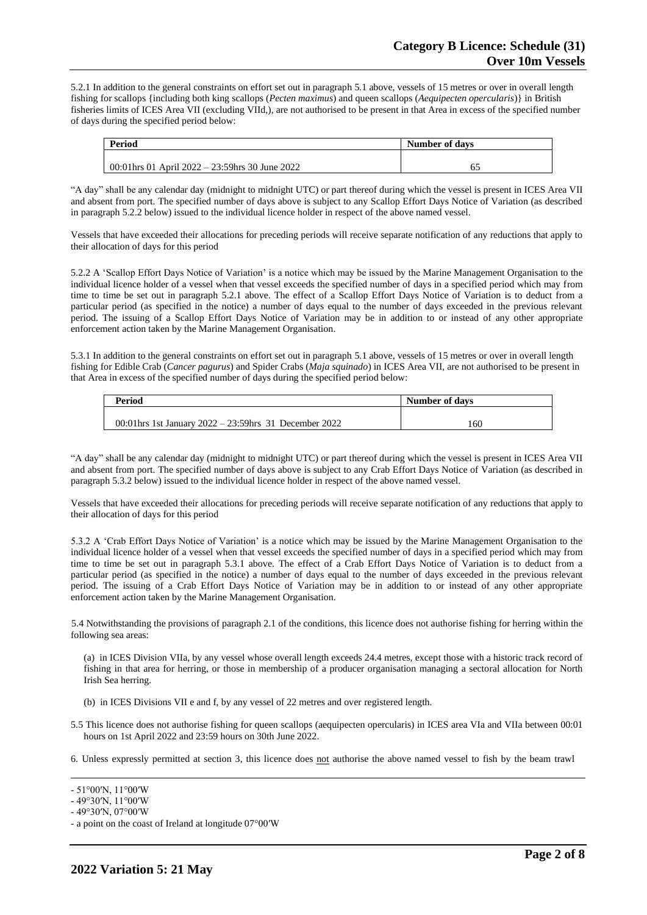5.2.1 In addition to the general constraints on effort set out in paragraph 5.1 above, vessels of 15 metres or over in overall length fishing for scallops {including both king scallops (*Pecten maximus*) and queen scallops (*Aequipecten opercularis*)} in British fisheries limits of ICES Area VII (excluding VIId,), are not authorised to be present in that Area in excess of the specified number of days during the specified period below:

| Period                                           | Number of days |
|--------------------------------------------------|----------------|
|                                                  |                |
| 00:01 hrs 01 April 2022 – 23:59 hrs 30 June 2022 | 62             |

"A day" shall be any calendar day (midnight to midnight UTC) or part thereof during which the vessel is present in ICES Area VII and absent from port. The specified number of days above is subject to any Scallop Effort Days Notice of Variation (as described in paragraph 5.2.2 below) issued to the individual licence holder in respect of the above named vessel.

Vessels that have exceeded their allocations for preceding periods will receive separate notification of any reductions that apply to their allocation of days for this period

5.2.2 A 'Scallop Effort Days Notice of Variation' is a notice which may be issued by the Marine Management Organisation to the individual licence holder of a vessel when that vessel exceeds the specified number of days in a specified period which may from time to time be set out in paragraph 5.2.1 above. The effect of a Scallop Effort Days Notice of Variation is to deduct from a particular period (as specified in the notice) a number of days equal to the number of days exceeded in the previous relevant period. The issuing of a Scallop Effort Days Notice of Variation may be in addition to or instead of any other appropriate enforcement action taken by the Marine Management Organisation.

5.3.1 In addition to the general constraints on effort set out in paragraph 5.1 above, vessels of 15 metres or over in overall length fishing for Edible Crab (*Cancer pagurus*) and Spider Crabs (*Maja squinado*) in ICES Area VII, are not authorised to be present in that Area in excess of the specified number of days during the specified period below:

| <b>Period</b>                                             | Number of days |
|-----------------------------------------------------------|----------------|
|                                                           |                |
| 00:01 hrs 1st January $2022 - 23:59$ hrs 31 December 2022 | 160            |

"A day" shall be any calendar day (midnight to midnight UTC) or part thereof during which the vessel is present in ICES Area VII and absent from port. The specified number of days above is subject to any Crab Effort Days Notice of Variation (as described in paragraph 5.3.2 below) issued to the individual licence holder in respect of the above named vessel.

Vessels that have exceeded their allocations for preceding periods will receive separate notification of any reductions that apply to their allocation of days for this period

5.3.2 A 'Crab Effort Days Notice of Variation' is a notice which may be issued by the Marine Management Organisation to the individual licence holder of a vessel when that vessel exceeds the specified number of days in a specified period which may from time to time be set out in paragraph 5.3.1 above. The effect of a Crab Effort Days Notice of Variation is to deduct from a particular period (as specified in the notice) a number of days equal to the number of days exceeded in the previous relevant period. The issuing of a Crab Effort Days Notice of Variation may be in addition to or instead of any other appropriate enforcement action taken by the Marine Management Organisation.

5.4 Notwithstanding the provisions of paragraph 2.1 of the conditions, this licence does not authorise fishing for herring within the following sea areas:

(a) in ICES Division VIIa, by any vessel whose overall length exceeds 24.4 metres, except those with a historic track record of fishing in that area for herring, or those in membership of a producer organisation managing a sectoral allocation for North Irish Sea herring.

- (b) in ICES Divisions VII e and f, by any vessel of 22 metres and over registered length.
- 5.5 This licence does not authorise fishing for queen scallops (aequipecten opercularis) in ICES area VIa and VIIa between 00:01 hours on 1st April 2022 and 23:59 hours on 30th June 2022.
- 6. Unless expressly permitted at section 3, this licence does not authorise the above named vessel to fish by the beam trawl

<sup>-</sup> 51°00′N, 11°00′W

<sup>-</sup> 49°30′N, 11°00′W

<sup>-</sup> 49°30′N, 07°00′W

<sup>-</sup> a point on the coast of Ireland at longitude 07°00′W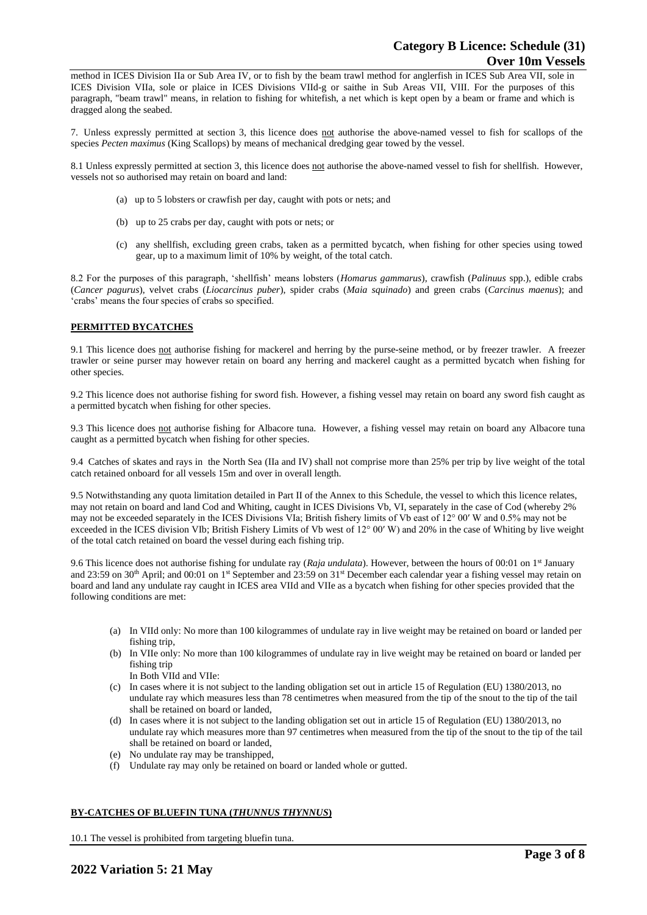method in ICES Division IIa or Sub Area IV, or to fish by the beam trawl method for anglerfish in ICES Sub Area VII, sole in ICES Division VIIa, sole or plaice in ICES Divisions VIId-g or saithe in Sub Areas VII, VIII. For the purposes of this paragraph, "beam trawl" means, in relation to fishing for whitefish, a net which is kept open by a beam or frame and which is dragged along the seabed.

7. Unless expressly permitted at section 3, this licence does not authorise the above-named vessel to fish for scallops of the species *Pecten maximus* (King Scallops) by means of mechanical dredging gear towed by the vessel.

8.1 Unless expressly permitted at section 3, this licence does not authorise the above-named vessel to fish for shellfish. However, vessels not so authorised may retain on board and land:

- (a) up to 5 lobsters or crawfish per day, caught with pots or nets; and
- (b) up to 25 crabs per day, caught with pots or nets; or
- (c) any shellfish, excluding green crabs, taken as a permitted bycatch, when fishing for other species using towed gear, up to a maximum limit of 10% by weight, of the total catch.

8.2 For the purposes of this paragraph, 'shellfish' means lobsters (*Homarus gammarus*), crawfish (*Palinuus* spp.), edible crabs (*Cancer pagurus*), velvet crabs (*Liocarcinus puber*), spider crabs (*Maia squinado*) and green crabs (*Carcinus maenus*); and 'crabs' means the four species of crabs so specified.

# **PERMITTED BYCATCHES**

9.1 This licence does not authorise fishing for mackerel and herring by the purse-seine method, or by freezer trawler. A freezer trawler or seine purser may however retain on board any herring and mackerel caught as a permitted bycatch when fishing for other species.

9.2 This licence does not authorise fishing for sword fish. However, a fishing vessel may retain on board any sword fish caught as a permitted bycatch when fishing for other species.

9.3 This licence does not authorise fishing for Albacore tuna. However, a fishing vessel may retain on board any Albacore tuna caught as a permitted bycatch when fishing for other species.

9.4 Catches of skates and rays in the North Sea (IIa and IV) shall not comprise more than 25% per trip by live weight of the total catch retained onboard for all vessels 15m and over in overall length.

9.5 Notwithstanding any quota limitation detailed in Part II of the Annex to this Schedule, the vessel to which this licence relates, may not retain on board and land Cod and Whiting, caught in ICES Divisions Vb, VI, separately in the case of Cod (whereby 2% may not be exceeded separately in the ICES Divisions VIa; British fishery limits of Vb east of 12° 00′ W and 0.5% may not be exceeded in the ICES division VIb; British Fishery Limits of Vb west of 12° 00′ W) and 20% in the case of Whiting by live weight of the total catch retained on board the vessel during each fishing trip.

9.6 This licence does not authorise fishing for undulate ray (*Raja undulata*). However, between the hours of 00:01 on 1 st January and 23:59 on 30<sup>th</sup> April; and 00:01 on 1<sup>st</sup> September and 23:59 on 31<sup>st</sup> December each calendar year a fishing vessel may retain on board and land any undulate ray caught in ICES area VIId and VIIe as a bycatch when fishing for other species provided that the following conditions are met:

- (a) In VIId only: No more than 100 kilogrammes of undulate ray in live weight may be retained on board or landed per fishing trip,
- (b) In VIIe only: No more than 100 kilogrammes of undulate ray in live weight may be retained on board or landed per fishing trip

In Both VIId and VIIe:

- (c) In cases where it is not subject to the landing obligation set out in article 15 of Regulation (EU) 1380/2013, no undulate ray which measures less than 78 centimetres when measured from the tip of the snout to the tip of the tail shall be retained on board or landed,
- (d) In cases where it is not subject to the landing obligation set out in article 15 of Regulation (EU) 1380/2013, no undulate ray which measures more than 97 centimetres when measured from the tip of the snout to the tip of the tail shall be retained on board or landed,
- (e) No undulate ray may be transhipped,
- (f) Undulate ray may only be retained on board or landed whole or gutted.

# **BY-CATCHES OF BLUEFIN TUNA (***THUNNUS THYNNUS***)**

10.1 The vessel is prohibited from targeting bluefin tuna.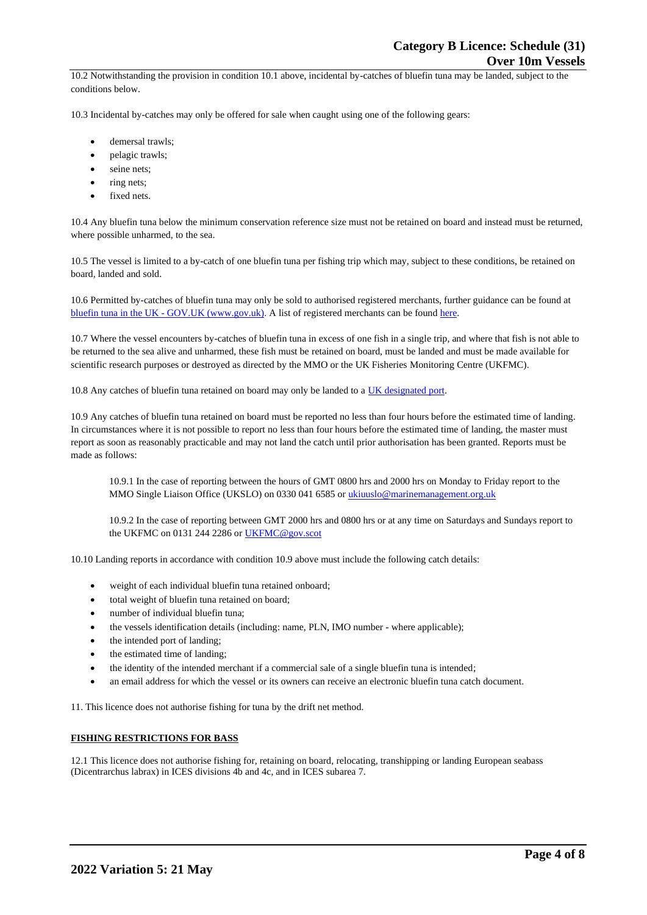10.2 Notwithstanding the provision in condition 10.1 above, incidental by-catches of bluefin tuna may be landed, subject to the conditions below.

10.3 Incidental by-catches may only be offered for sale when caught using one of the following gears:

- demersal trawls;
- pelagic trawls;
- seine nets:
- ring nets;
- fixed nets.

10.4 Any bluefin tuna below the minimum conservation reference size must not be retained on board and instead must be returned, where possible unharmed, to the sea.

10.5 The vessel is limited to a by-catch of one bluefin tuna per fishing trip which may, subject to these conditions, be retained on board, landed and sold.

10.6 Permitted by-catches of bluefin tuna may only be sold to authorised registered merchants, further guidance can be found at bluefin tuna in the UK - [GOV.UK \(www.gov.uk\).](https://www.gov.uk/guidance/bluefin-tuna-in-the-uk) A list of registered merchants can be found [here.](https://www.gov.uk/government/publications/bluefin-tuna-traders/registered-bluefin-tuna-traders)

10.7 Where the vessel encounters by-catches of bluefin tuna in excess of one fish in a single trip, and where that fish is not able to be returned to the sea alive and unharmed, these fish must be retained on board, must be landed and must be made available for scientific research purposes or destroyed as directed by the MMO or the UK Fisheries Monitoring Centre (UKFMC).

10.8 Any catches of bluefin tuna retained on board may only be landed to [a UK designated port.](https://www.gov.uk/government/publications/designated-ports/designated-ports-for-uk-flagged-vessels-landing-bluefin-tuna)

10.9 Any catches of bluefin tuna retained on board must be reported no less than four hours before the estimated time of landing. In circumstances where it is not possible to report no less than four hours before the estimated time of landing, the master must report as soon as reasonably practicable and may not land the catch until prior authorisation has been granted. Reports must be made as follows:

10.9.1 In the case of reporting between the hours of GMT 0800 hrs and 2000 hrs on Monday to Friday report to the MMO Single Liaison Office (UKSLO) on 0330 041 6585 o[r ukiuuslo@marinemanagement.org.uk](mailto:ukiuuslo@marinemanagement.org.uk)

10.9.2 In the case of reporting between GMT 2000 hrs and 0800 hrs or at any time on Saturdays and Sundays report to the UKFMC on 0131 244 2286 o[r UKFMC@gov.scot](mailto:UKFMC@gov.scot)

10.10 Landing reports in accordance with condition 10.9 above must include the following catch details:

- weight of each individual bluefin tuna retained onboard;
- total weight of bluefin tuna retained on board;
- number of individual bluefin tuna;
- the vessels identification details (including: name, PLN, IMO number where applicable);
- the intended port of landing:
- the estimated time of landing;
- the identity of the intended merchant if a commercial sale of a single bluefin tuna is intended;
- an email address for which the vessel or its owners can receive an electronic bluefin tuna catch document.

11. This licence does not authorise fishing for tuna by the drift net method.

#### **FISHING RESTRICTIONS FOR BASS**

12.1 This licence does not authorise fishing for, retaining on board, relocating, transhipping or landing European seabass (Dicentrarchus labrax) in ICES divisions 4b and 4c, and in ICES subarea 7.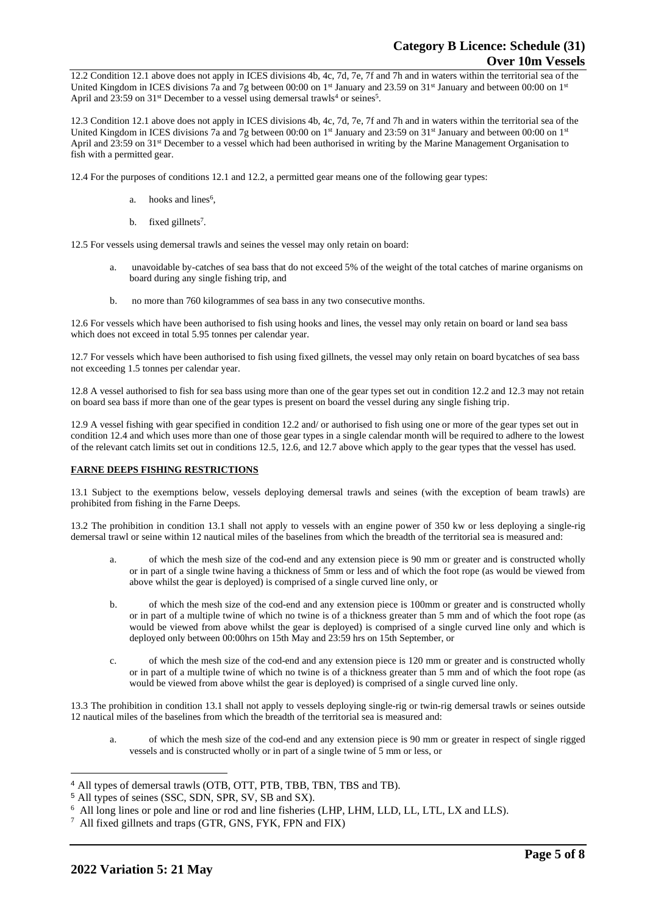12.2 Condition 12.1 above does not apply in ICES divisions 4b, 4c, 7d, 7e, 7f and 7h and in waters within the territorial sea of the United Kingdom in ICES divisions 7a and 7g between 00:00 on 1<sup>st</sup> January and 23.59 on 31<sup>st</sup> January and between 00:00 on 1<sup>st</sup> April and 23:59 on  $31^{st}$  December to a vessel using demersal trawls<sup>4</sup> or seines<sup>5</sup>.

12.3 Condition 12.1 above does not apply in ICES divisions 4b, 4c, 7d, 7e, 7f and 7h and in waters within the territorial sea of the United Kingdom in ICES divisions 7a and 7g between 00:00 on 1<sup>st</sup> January and 23:59 on 31<sup>st</sup> January and between 00:00 on 1<sup>st</sup> April and 23:59 on 31<sup>st</sup> December to a vessel which had been authorised in writing by the Marine Management Organisation to fish with a permitted gear.

12.4 For the purposes of conditions 12.1 and 12.2, a permitted gear means one of the following gear types:

- a. hooks and lines<sup>6</sup>,
- b. fixed gillnets<sup>7</sup>.

12.5 For vessels using demersal trawls and seines the vessel may only retain on board:

- a. unavoidable by-catches of sea bass that do not exceed 5% of the weight of the total catches of marine organisms on board during any single fishing trip, and
- b. no more than 760 kilogrammes of sea bass in any two consecutive months.

12.6 For vessels which have been authorised to fish using hooks and lines, the vessel may only retain on board or land sea bass which does not exceed in total 5.95 tonnes per calendar year.

12.7 For vessels which have been authorised to fish using fixed gillnets, the vessel may only retain on board bycatches of sea bass not exceeding 1.5 tonnes per calendar year.

12.8 A vessel authorised to fish for sea bass using more than one of the gear types set out in condition 12.2 and 12.3 may not retain on board sea bass if more than one of the gear types is present on board the vessel during any single fishing trip.

12.9 A vessel fishing with gear specified in condition 12.2 and/ or authorised to fish using one or more of the gear types set out in condition 12.4 and which uses more than one of those gear types in a single calendar month will be required to adhere to the lowest of the relevant catch limits set out in conditions 12.5, 12.6, and 12.7 above which apply to the gear types that the vessel has used.

# **FARNE DEEPS FISHING RESTRICTIONS**

13.1 Subject to the exemptions below, vessels deploying demersal trawls and seines (with the exception of beam trawls) are prohibited from fishing in the Farne Deeps.

13.2 The prohibition in condition 13.1 shall not apply to vessels with an engine power of 350 kw or less deploying a single-rig demersal trawl or seine within 12 nautical miles of the baselines from which the breadth of the territorial sea is measured and:

- a. of which the mesh size of the cod-end and any extension piece is 90 mm or greater and is constructed wholly or in part of a single twine having a thickness of 5mm or less and of which the foot rope (as would be viewed from above whilst the gear is deployed) is comprised of a single curved line only, or
- b. of which the mesh size of the cod-end and any extension piece is 100mm or greater and is constructed wholly or in part of a multiple twine of which no twine is of a thickness greater than 5 mm and of which the foot rope (as would be viewed from above whilst the gear is deployed) is comprised of a single curved line only and which is deployed only between 00:00hrs on 15th May and 23:59 hrs on 15th September, or
- c. of which the mesh size of the cod-end and any extension piece is 120 mm or greater and is constructed wholly or in part of a multiple twine of which no twine is of a thickness greater than 5 mm and of which the foot rope (as would be viewed from above whilst the gear is deployed) is comprised of a single curved line only.

13.3 The prohibition in condition 13.1 shall not apply to vessels deploying single-rig or twin-rig demersal trawls or seines outside 12 nautical miles of the baselines from which the breadth of the territorial sea is measured and:

a. of which the mesh size of the cod-end and any extension piece is 90 mm or greater in respect of single rigged vessels and is constructed wholly or in part of a single twine of 5 mm or less, or

<sup>4</sup> All types of demersal trawls (OTB, OTT, PTB, TBB, TBN, TBS and TB).

<sup>5</sup> All types of seines (SSC, SDN, SPR, SV, SB and SX).

<sup>6</sup> All long lines or pole and line or rod and line fisheries (LHP, LHM, LLD, LL, LTL, LX and LLS).

<sup>&</sup>lt;sup>7</sup> All fixed gillnets and traps (GTR, GNS, FYK, FPN and FIX)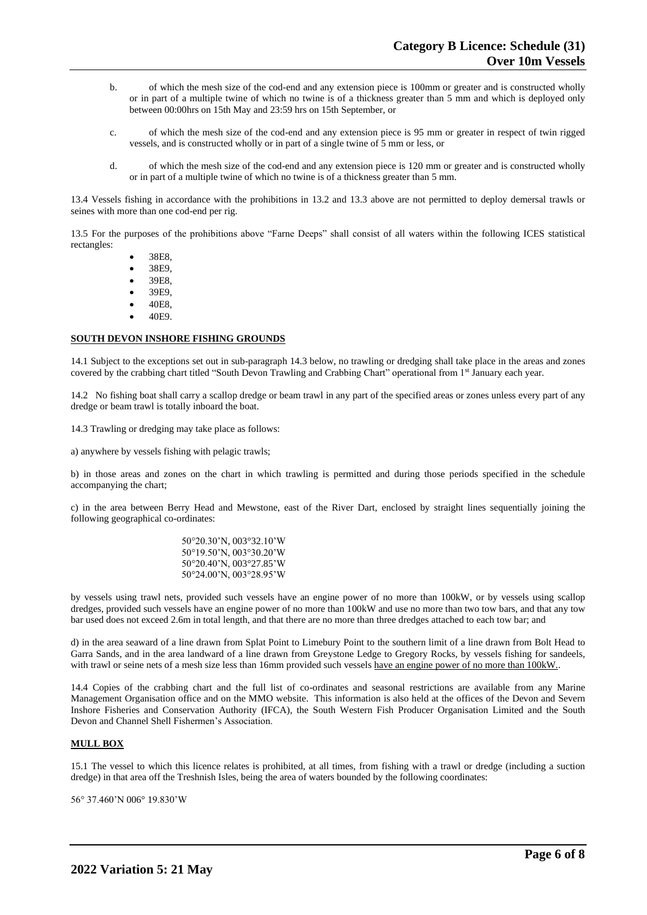- b. of which the mesh size of the cod-end and any extension piece is 100mm or greater and is constructed wholly or in part of a multiple twine of which no twine is of a thickness greater than 5 mm and which is deployed only between 00:00hrs on 15th May and 23:59 hrs on 15th September, or
- c. of which the mesh size of the cod-end and any extension piece is 95 mm or greater in respect of twin rigged vessels, and is constructed wholly or in part of a single twine of 5 mm or less, or
- d. of which the mesh size of the cod-end and any extension piece is 120 mm or greater and is constructed wholly or in part of a multiple twine of which no twine is of a thickness greater than 5 mm.

13.4 Vessels fishing in accordance with the prohibitions in 13.2 and 13.3 above are not permitted to deploy demersal trawls or seines with more than one cod-end per rig.

13.5 For the purposes of the prohibitions above "Farne Deeps" shall consist of all waters within the following ICES statistical rectangles:

- 38E8,
- 38E9,
- 39E8,
- 39E9,
- 40E8,
- 40E9.

# **SOUTH DEVON INSHORE FISHING GROUNDS**

14.1 Subject to the exceptions set out in sub-paragraph 14.3 below, no trawling or dredging shall take place in the areas and zones covered by the crabbing chart titled "South Devon Trawling and Crabbing Chart" operational from 1<sup>st</sup> January each year.

14.2 No fishing boat shall carry a scallop dredge or beam trawl in any part of the specified areas or zones unless every part of any dredge or beam trawl is totally inboard the boat.

14.3 Trawling or dredging may take place as follows:

a) anywhere by vessels fishing with pelagic trawls;

b) in those areas and zones on the chart in which trawling is permitted and during those periods specified in the schedule accompanying the chart;

c) in the area between Berry Head and Mewstone, east of the River Dart, enclosed by straight lines sequentially joining the following geographical co-ordinates:

| 50°20.30'N, 003°32.10'W |
|-------------------------|
| 50°19.50'N, 003°30.20'W |
| 50°20.40'N, 003°27.85'W |
| 50°24.00'N, 003°28.95'W |

by vessels using trawl nets, provided such vessels have an engine power of no more than 100kW, or by vessels using scallop dredges, provided such vessels have an engine power of no more than 100kW and use no more than two tow bars, and that any tow bar used does not exceed 2.6m in total length, and that there are no more than three dredges attached to each tow bar; and

d) in the area seaward of a line drawn from Splat Point to Limebury Point to the southern limit of a line drawn from Bolt Head to Garra Sands, and in the area landward of a line drawn from Greystone Ledge to Gregory Rocks, by vessels fishing for sandeels, with trawl or seine nets of a mesh size less than 16mm provided such vessels have an engine power of no more than 100kW..

14.4 Copies of the crabbing chart and the full list of co-ordinates and seasonal restrictions are available from any Marine Management Organisation office and on the MMO website. This information is also held at the offices of the Devon and Severn Inshore Fisheries and Conservation Authority (IFCA), the South Western Fish Producer Organisation Limited and the South Devon and Channel Shell Fishermen's Association.

#### **MULL BOX**

15.1 The vessel to which this licence relates is prohibited, at all times, from fishing with a trawl or dredge (including a suction dredge) in that area off the Treshnish Isles, being the area of waters bounded by the following coordinates:

56° 37.460'N 006° 19.830'W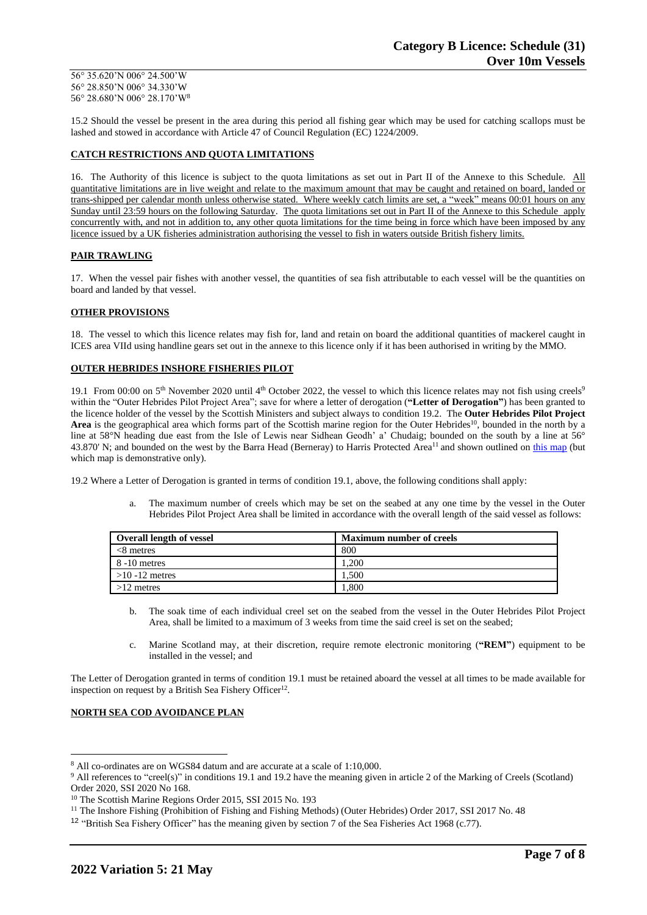56° 35.620'N 006° 24.500'W 56° 28.850'N 006° 34.330'W 56° 28.680'N 006° 28.170'W<sup>8</sup>

15.2 Should the vessel be present in the area during this period all fishing gear which may be used for catching scallops must be lashed and stowed in accordance with Article 47 of Council Regulation (EC) 1224/2009.

# **CATCH RESTRICTIONS AND QUOTA LIMITATIONS**

16. The Authority of this licence is subject to the quota limitations as set out in Part II of the Annexe to this Schedule. All quantitative limitations are in live weight and relate to the maximum amount that may be caught and retained on board, landed or trans-shipped per calendar month unless otherwise stated. Where weekly catch limits are set, a "week" means 00:01 hours on any Sunday until 23:59 hours on the following Saturday. The quota limitations set out in Part II of the Annexe to this Schedule apply concurrently with, and not in addition to, any other quota limitations for the time being in force which have been imposed by any licence issued by a UK fisheries administration authorising the vessel to fish in waters outside British fishery limits.

### **PAIR TRAWLING**

17. When the vessel pair fishes with another vessel, the quantities of sea fish attributable to each vessel will be the quantities on board and landed by that vessel.

# **OTHER PROVISIONS**

18. The vessel to which this licence relates may fish for, land and retain on board the additional quantities of mackerel caught in ICES area VIId using handline gears set out in the annexe to this licence only if it has been authorised in writing by the MMO.

# **OUTER HEBRIDES INSHORE FISHERIES PILOT**

19.1 From 00:00 on  $5<sup>th</sup>$  November 2020 until  $4<sup>th</sup>$  October 2022, the vessel to which this licence relates may not fish using creels<sup>9</sup> within the "Outer Hebrides Pilot Project Area"; save for where a letter of derogation (**"Letter of Derogation"**) has been granted to the licence holder of the vessel by the Scottish Ministers and subject always to condition 19.2. The **Outer Hebrides Pilot Project**  Area is the geographical area which forms part of the Scottish marine region for the Outer Hebrides<sup>10</sup>, bounded in the north by a line at 58°N heading due east from the Isle of Lewis near Sidhean Geodh' a' Chudaig; bounded on the south by a line at 56° 43.870' N; and bounded on the west by the Barra Head (Berneray) to Harris Protected Area<sup>11</sup> and shown outlined on this [map](https://www.gov.scot/publications/outer-hebrides-inshore-fisheries-pilot-area) (but which map is demonstrative only).

19.2 Where a Letter of Derogation is granted in terms of condition 19.1, above, the following conditions shall apply:

a. The maximum number of creels which may be set on the seabed at any one time by the vessel in the Outer Hebrides Pilot Project Area shall be limited in accordance with the overall length of the said vessel as follows:

| <b>Overall length of vessel</b> | <b>Maximum number of creels</b> |
|---------------------------------|---------------------------------|
| $<8$ metres                     | 800                             |
| 8 -10 metres                    | .200                            |
| $>10 - 12$ metres               | 1.500                           |
| $>12$ metres                    | . 800                           |

- b. The soak time of each individual creel set on the seabed from the vessel in the Outer Hebrides Pilot Project Area, shall be limited to a maximum of 3 weeks from time the said creel is set on the seabed;
- c. Marine Scotland may, at their discretion, require remote electronic monitoring (**"REM"**) equipment to be installed in the vessel; and

The Letter of Derogation granted in terms of condition 19.1 must be retained aboard the vessel at all times to be made available for inspection on request by a British Sea Fishery Officer<sup>12</sup>.

#### **NORTH SEA COD AVOIDANCE PLAN**

<sup>8</sup> All co-ordinates are on WGS84 datum and are accurate at a scale of 1:10,000.

<sup>&</sup>lt;sup>9</sup> All references to "creel(s)" in conditions 19.1 and 19.2 have the meaning given in article 2 of the Marking of Creels (Scotland) Order 2020, SSI 2020 No 168.

<sup>&</sup>lt;sup>10</sup> The Scottish Marine Regions Order 2015, SSI 2015 No. 193

<sup>&</sup>lt;sup>11</sup> The Inshore Fishing (Prohibition of Fishing and Fishing Methods) (Outer Hebrides) Order 2017, SSI 2017 No. 48

<sup>&</sup>lt;sup>12</sup> "British Sea Fishery Officer" has the meaning given by section 7 of the Sea Fisheries Act 1968 (c.77).